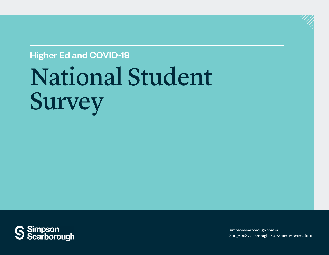# National Student Survey Higher Ed and COVID-19



[simpsonscarborough.com](https://www.simpsonscarborough.com) **→** SimpsonScarborough is a women-owned firm.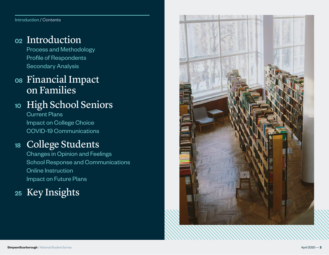Introduction / Contents

#### <sup>02</sup> [Introduction](#page-2-0)

[Process and Methodology](#page-3-0) [Profile of Respondents](#page-4-0) [Secondary Analysis](#page-6-0)

# <sup>08</sup> [Financial Impact](#page-7-0)  [on Families](#page-7-0)

# 10 [High School Seniors](#page-9-0)

[Current Plans](#page-10-0) [Impact on College Choice](#page-12-0) [COVID-19 Communications](#page-15-0)

# <sup>18</sup> [College Students](#page-17-0)

[Changes in Opinion and Feelings](#page-18-0) [School Response and Communications](#page-20-0) [Online Instruction](#page-22-0) [Impact on Future Plans](#page-23-0)

# <sup>25</sup> [Key](#page-24-0) Insights

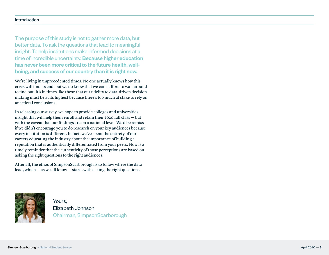#### <span id="page-2-0"></span>Introduction

The purpose of this study is not to gather more data, but better data. To ask the questions that lead to meaningful insight. To help institutions make informed decisions at a time of incredible uncertainty. Because higher education has never been more critical to the future health, wellbeing, and success of our country than it is right now.

We're living in unprecedented times. No one actually knows how this crisis will find its end, but we do know that we can't afford to wait around to find out. It's in times like these that our fidelity to data-driven decision making must be at its highest because there's too much at stake to rely on anecdotal conclusions.

In releasing our survey, we hope to provide colleges and universities insight that will help them enroll and retain their 2020 fall class — but with the caveat that our findings are on a national level. We'd be remiss if we didn't encourage you to do research on your key audiences because every institution is different. In fact, we've spent the entirety of our careers educating the industry about the importance of building a reputation that is authentically differentiated from your peers. Now is a timely reminder that the authenticity of those perceptions are based on asking the right questions to the right audiences.

After all, the ethos of SimpsonScarborough is to follow where the data lead, which — as we all know — starts with asking the right questions.



Yours, Elizabeth Johnson Chairman, SimpsonScarborough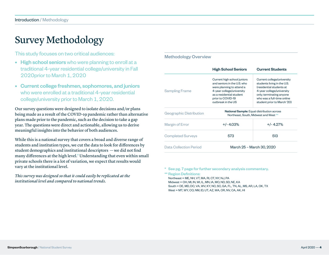# <span id="page-3-0"></span>Survey Methodology

This study focuses on two critical audiences:

- High school seniors who were planning to enroll at a traditional 4-year residential college/university in Fall 2020prior to March 1, 2020
- Current college freshmen, sophomores, and juniors who were enrolled at a traditional 4-year residential college/university prior to March 1, 2020.

Our survey questions were designed to isolate decisions and/or plans being made as a result of the COVID-19 pandemic rather than alternative plans made prior to the pandemic, such as the decision to take a gap year. The questions were direct and actionable, allowing us to derive meaningful insights into the behavior of both audiences.

While this is a national survey that covers a broad and diverse range of students and institution types, we cut the data to look for differences by student demographics and institutional descriptors — we did not find many differences at the high level.\* Understanding that even within small private schools there is a lot of variation, we expect that results would vary at the institutional level.

*This survey was designed so that it could easily be replicated at the institutional level and compared to national trends.*

#### Methodology Overview

|                          | <b>High School Seniors</b>                                                                                                                                                                  | <b>Current Students</b>                                                                                                                                                                                     |  |
|--------------------------|---------------------------------------------------------------------------------------------------------------------------------------------------------------------------------------------|-------------------------------------------------------------------------------------------------------------------------------------------------------------------------------------------------------------|--|
| <b>Sampling Frame</b>    | Current high school juniors<br>and seniors in the U.S. who<br>were planning to attend a<br>4-year college/university<br>as a residential student<br>prior to COVID-19<br>outbreak in the US | Current college/university<br>students living in the U.S.<br>(residential students at<br>4-year college/university<br>only; terminating anyone<br>who was a full-time online<br>student prior to March '20) |  |
| Geographic Distribution  | National Sample: Equal distribution across<br>Northeast, South, Midwest and West **                                                                                                         |                                                                                                                                                                                                             |  |
| Margin of Error          | $+/- 4.03%$                                                                                                                                                                                 | $+/- 4.27%$                                                                                                                                                                                                 |  |
| <b>Completed Surveys</b> | 573                                                                                                                                                                                         | 513                                                                                                                                                                                                         |  |
| Data Collection Period   |                                                                                                                                                                                             | March 25 - March 30, 2020                                                                                                                                                                                   |  |

\* See pg. 7 page for further secondary analysis commentary.

\*\* Region Definitions: Northeast = ME, NH, VT, MA, RI, CT, NY, NJ, PA Midwest = OH, MI, IN, WI, IL, MN, IA, MO, ND, SD, NE, KA South = DE, MD, DC, VA, WV, KY, NC, SC, GA, FL, TN, AL, MS, AR, LA, OK, TX West = MT, WY, CO, NM, ID, UT, AZ, WA, OR, NV, CA, AK, HI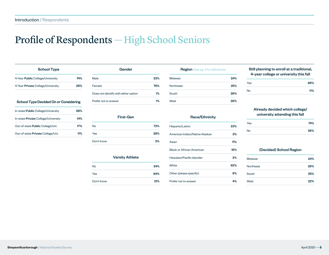# <span id="page-4-0"></span>Profile of Respondents — High School Seniors

| <b>School Type</b>                                                                                                          |     |
|-----------------------------------------------------------------------------------------------------------------------------|-----|
| 4-Year <b>Public</b> College/University                                                                                     | 74% |
| 4-Year <b>Private</b> College/University                                                                                    | 26% |
|                                                                                                                             |     |
| School Type Decided On or Considering                                                                                       |     |
|                                                                                                                             | 58% |
|                                                                                                                             | 14% |
| In-state <b>Public</b> College/University<br>In-state Private College/University<br>Out-of-state <b>Public</b> College/Uni. | 17% |

| Gender                               |     |
|--------------------------------------|-----|
| Male                                 | 23% |
| Female                               | 76% |
| Does not identify with either option | 1%  |
| Prefer not to answer                 | 1%  |
| <b>First-Gen</b>                     |     |
| <b>No</b>                            | 72% |
| Yes                                  | 26% |
| Don't know                           | 2%  |

| <b>Midwest</b> | 24% |
|----------------|-----|
| Northeast      | 25% |
| South          | 26% |

#### Race/Ethnicity

| Hispanic/Latino                | 23% |
|--------------------------------|-----|
| American Indian/Native Alaskan | 3%  |
| Asian                          | 11% |
| Black or African American      | 19% |
| Hawaiian/Pacific Islander      | 2%  |
| White                          | 62% |
| Other (please specify):        | 8%  |
| Prefer not to answer           | 4%  |

#### Still planning to enroll at a traditional, 4-year college or university this fall

| 89% |
|-----|
| 11% |
|     |

#### Already decided which college/ university attending this fall

| Yes | 74% |
|-----|-----|
| No  | 26% |

#### (Decided) School Region

| Midwest   | 24% |
|-----------|-----|
| Northeast | 29% |
| South     | 25% |
| West      | 22% |

|    | <b>Varsity Athlete</b> |     |
|----|------------------------|-----|
| No |                        | 24% |
|    |                        |     |

Yes 64% Don't know 12%

Varsity Athlete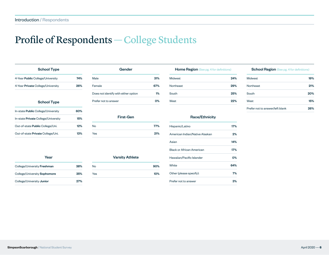# Profile of Respondents — College Students

| <b>School Type</b>                        |     | Gender                               |     |
|-------------------------------------------|-----|--------------------------------------|-----|
| 4-Year <b>Public</b> College/University   | 74% | Male                                 | 31% |
| 4-Year Private College/University         | 26% | Female                               | 67% |
|                                           |     | Does not identify with either option | 1%  |
| <b>School Type</b>                        |     | Prefer not to answer                 | 0%  |
| In-state <b>Public</b> College/University | 60% |                                      |     |
| In-state Private College/University       | 15% | <b>First-Gen</b>                     |     |
| Out-of-state Public College/Uni.          | 12% | <b>No</b>                            | 77% |
| Out-of-state Private College/Uni.         | 13% | <b>Yes</b>                           | 21% |
|                                           |     |                                      |     |

| Gender                               |     |
|--------------------------------------|-----|
| Male                                 | 31% |
| Female                               | 67% |
| Does not identify with either option | 1%  |
| Prefer not to answer                 | 0%  |
| <b>First-Gen</b>                     |     |
| <b>No</b>                            | 77% |
| Yes                                  | 21% |

| <b>Midwest</b> | 24% |
|----------------|-----|
| Northeast      | 29% |
| South          | 25% |
| West           | 22% |

#### Race/Ethnicity

#### Midwest 19% Northeast 21% South 20% West **15%** Prefer not to answer/left blank 26%

School Region (See pg. 4 for definitions)

| Year                         |     | <b>Varsity Athlete</b> |     |
|------------------------------|-----|------------------------|-----|
| College/University Freshman  | 38% | No                     | 90% |
| College/University Sophomore | 35% | Yes                    | 10% |
| College/University Junior    | 27% |                        |     |

| Hispanic/Latino                | 17% |
|--------------------------------|-----|
| American Indian/Native Alaskan | 2%  |
| Asian                          | 14% |
| Black or African American      | 17% |
| Hawaiian/Pacific Islander      | በ%  |
| White                          | 64% |
| Other (please specify):        | 7%  |
| Prefer not to answer           | 3%  |
|                                |     |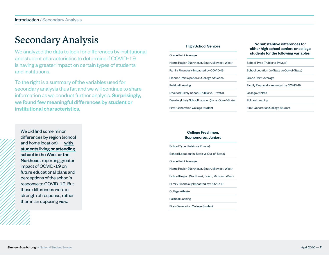## <span id="page-6-0"></span>Secondary Analysis

We analyzed the data to look for differences by institutional and student characteristics to determine if COVID-19 is having a greater impact on certain types of students and institutions.

To the right is a summary of the variables used for secondary analysis thus far, and we will continue to share information as we conduct further analysis. Surprisingly, we found few meaningful differences by student or institutional characteristics.

#### High School Seniors

| <b>Grade Point Average</b>                           |
|------------------------------------------------------|
| Home Region (Northeast, South, Midwest, West)        |
| Family Financially Impacted by COVID-19              |
| <b>Planned Participation in College Athletics</b>    |
| <b>Political Leaning</b>                             |
| Decided/Likely School (Public vs. Private)           |
| Decided/Likely School Location (In-vs. Out-of-State) |
| <b>First-Generation College Student</b>              |

No substantive differences for either high school seniors or college students for the following variables:

#### School Type (Public vs Private) School Location (In-State vs Out-of-State)

Grade Point Average

Family Financially Impacted by COVID-19

College Athlete

Political Leaning

First-Generation College Student

We did find some minor differences by region (school and home location) — with students living or attending school in the West or the Northeast reporting greater impact of COVID-19 on future educational plans and perceptions of the school's response to COVID-19. But these differences were in strength of response, rather than in an opposing view.

#### College Freshmen, Sophomores, Juniors

School Type (Public vs Private) School Location (In-State vs Out-of-State) Grade Point Average Home Region (Northeast, South, Midwest, West) School Region (Northeast, South, Midwest, West) Family Financially Impacted by COVID-19 College Athlete Political Leaning

First-Generation College Student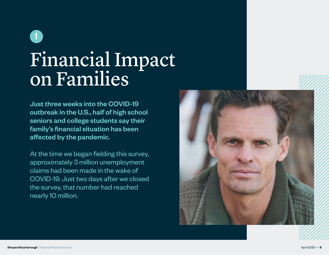# <span id="page-7-0"></span>Financial Impact on Families 1

Just three weeks into the COVID-19 outbreak in the U.S., half of high school seniors and college students say their family's financial situation has been affected by the pandemic.

At the time we began fielding this survey, approximately 3 million unemployment claims had been made in the wake of COVID-19. Just two days after we closed the survey, that number had reached nearly 10 million.

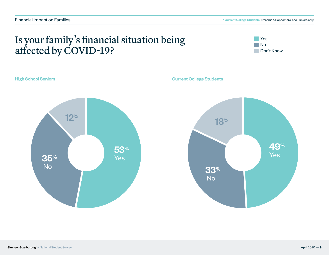# Is your family's financial situation being affected by COVID-19?



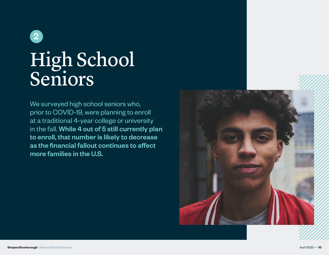<span id="page-9-0"></span>

# High School Seniors

We surveyed high school seniors who, prior to COVID-19, were planning to enroll at a traditional 4-year college or university in the fall. While 4 out of 5 still currently plan to enroll, that number is likely to decrease as the financial fallout continues to affect more families in the U.S.

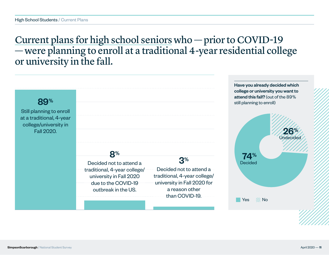## <span id="page-10-0"></span>Current plans for high school seniors who — prior to COVID-19 — were planning to enroll at a traditional 4-year residential college or university in the fall.

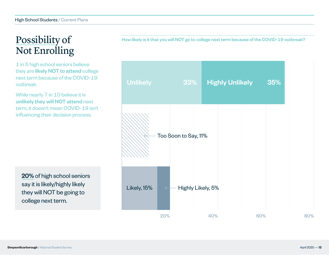# Possibility of Not Enrolling

1 in 5 high school seniors believe they are likely NOT to attend college next term because of the COVID-19 outbreak.

While nearly 7 in 10 believe it is unlikely they will NOT attend next term, it doesn't mean COVID-19 isn't influencing their decision process.

20% of high school seniors say it is likely/highly likely they will NOT be going to college next term.

How likely is it that you will NOT go to college next term because of the COVID-19 outbreak?

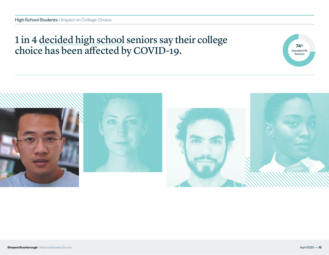# <span id="page-12-0"></span>1 in 4 decided high school seniors say their college choice has been affected by COVID-19.



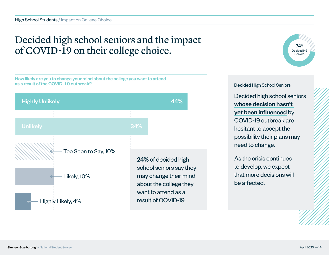# Decided high school seniors and the impact of COVID-19 on their college choice.







#### Decided High School Seniors

Decided high school seniors whose decision hasn't yet been influenced by COVID-19 outbreak are hesitant to accept the possibility their plans may need to change.

As the crisis continues to develop, we expect that more decisions will be affected.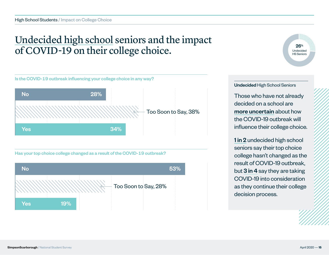# Undecided high school seniors and the impact of COVID-19 on their college choice.



Has your top choice college changed as a result of the COVID-19 outbreak?



 $26^{\circ}$ Undecided HS Seniors

#### Undecided High School Seniors

Those who have not already decided on a school are more uncertain about how the COVID-19 outbreak will influence their college choice.

1 in 2 undecided high school seniors say their top choice college hasn't changed as the result of COVID-19 outbreak, but 3 in 4 say they are taking COVID-19 into consideration as they continue their college decision process.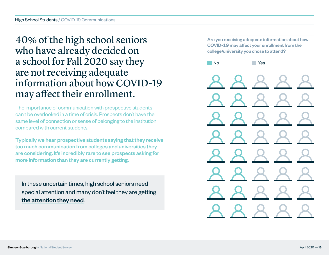## <span id="page-15-0"></span>40% of the high school seniors who have already decided on a school for Fall 2020 say they are not receiving adequate information about how COVID-19 may affect their enrollment.

The importance of communication with prospective students can't be overlooked in a time of crisis. Prospects don't have the same level of connection or sense of belonging to the institution compared with current students.

Typically we hear prospective students saying that they receive too much communication from colleges and universities they are considering. It's incredibly rare to see prospects asking for more information than they are currently getting.

In these uncertain times, high school seniors need special attention and many don't feel they are getting the attention they need.

Are you receiving adequate information about how COVID-19 may affect your enrollment from the college/university you chose to attend?

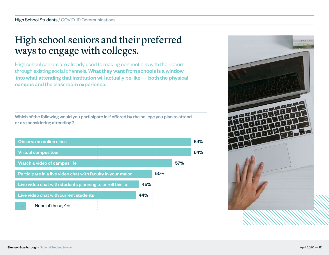# High school seniors and their preferred ways to engage with colleges.

High school seniors are already used to making connections with their peers through existing social channels. What they want from schools is a window into what attending that institution will actually be like — both the physical campus and the classroom experience.

Which of the following would you participate in if offered by the college you plan to attend or are considering attending?



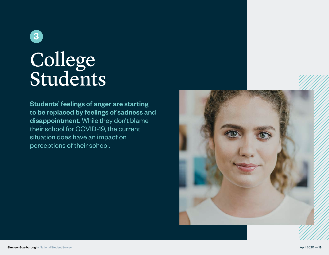<span id="page-17-0"></span>

# College Students

Students' feelings of anger are starting to be replaced by feelings of sadness and disappointment. While they don't blame their school for COVID-19, the current situation does have an impact on perceptions of their school.

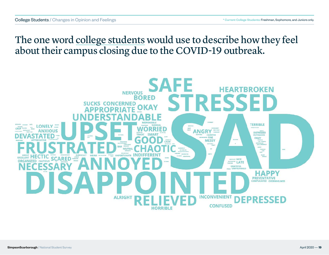## <span id="page-18-0"></span>The one word college students would use to describe how they feel about their campus closing due to the COVID-19 outbreak.

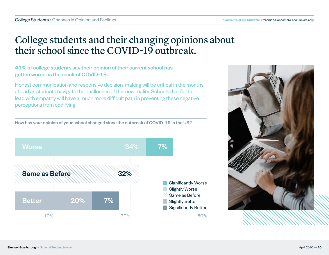# College students and their changing opinions about their school since the COVID-19 outbreak.

#### 41% of college students say their opinion of their current school has gotten worse as the result of COVID-19.

Honest communication and responsive decision-making will be critical in the months ahead as students navigate the challenges of this new reality. Schools that fail to lead with empathy will have a much more difficult path in preventing these negative perceptions from codifying.

How has your opinion of your school changed since the outbreak of COVID-19 in the US?



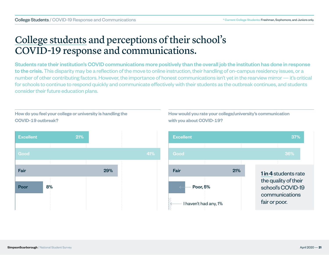# <span id="page-20-0"></span>College students and perceptions of their school's COVID-19 response and communications.

Students rate their institution's COVID communications more positively than the overall job the institution has done in response to the crisis. This disparity may be a reflection of the move to online instruction, their handling of on-campus residency issues, or a number of other contributing factors. However, the importance of honest communications isn't yet in the rearview mirror — it's critical for schools to continue to respond quickly and communicate effectively with their students as the outbreak continues, and students consider their future education plans.

How do you feel your college or university is handling the COVID-19 outbreak?



How would you rate your college/university's communication with you about COVID-19?

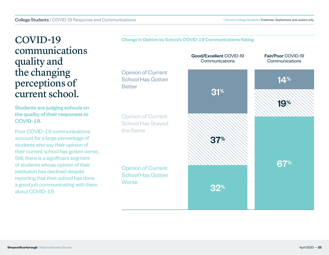### COVID-19 communications quality and the changing perceptions of current school.

Students are judging schools on the quality of their responses to COVID-19.

Poor COVID-19 communications account for a large percentage of students who say their opinion of their current school has gotten worse. Still, there is a significant segment of students whose opinion of their institution has declined despite reporting that their school has done a good job communicating with them about COVID-19.



Change in Opinion by School's COVID-19 Communications Rating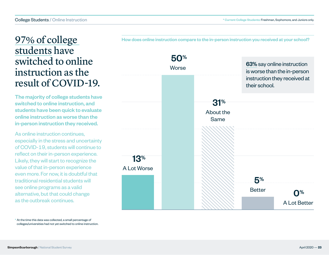### <span id="page-22-0"></span>97% of college students have switched to online instruction as the result of COVID-19.

The majority of college students have switched to online instruction, and students have been quick to evaluate online instruction as worse than the in-person instruction they received.

As online instruction continues, especially in the stress and uncertainty of COVID-19, students will continue to reflect on their in-person experience. Likely, they will start to recognize the value of that in-person experience even more. For now, it is doubtful that traditional residential students will see online programs as a valid alternative, but that could change as the outbreak continues.



How does online instruction compare to the in-person instruction you received at your school?

\* At the time this data was collected, a small percentage of colleges/universities had not yet switched to online instruction.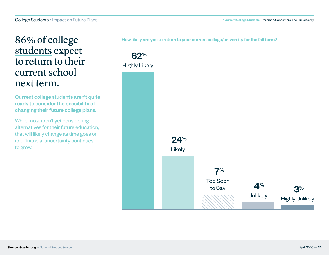### <span id="page-23-0"></span>86% of college students expect to return to their current school next term.

Current college students aren't quite ready to consider the possibility of changing their future college plans.

While most aren't yet considering alternatives for their future education, that will likely change as time goes on and financial uncertainty continues to grow.

How likely are you to return to your current college/university for the fall term?

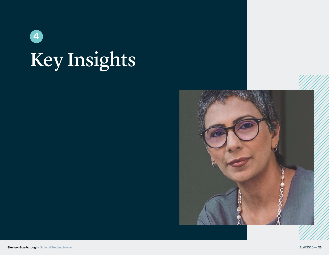<span id="page-24-0"></span>

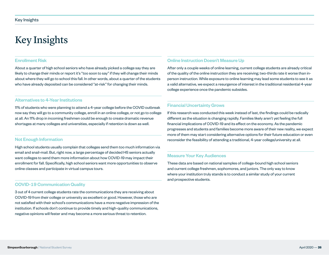# Key Insights

#### Enrollment Risk

About a quarter of high school seniors who have already picked a college say they are likely to change their minds or report it's "too soon to say" if they will change their minds about where they will go to school this fall. In other words, about a quarter of the students who have already deposited can be considered "at-risk" for changing their minds.

#### Alternatives to 4-Year Institutions

11% of students who were planning to attend a 4-year college before the COVID outbreak now say they will go to a community college, enroll in an online college, or not go to college at all. An 11% drop in incoming freshmen could be enough to create dramatic revenue shortages at many colleges and universities, especially if retention is down as well.

#### Not Enough Information

High school students usually complain that colleges send them too much information via email and snail-mail. But, right now, a large percentage of decided HS seniors actually want colleges to send them more information about how COVID-19 may impact their enrollment for fall. Specifically, high school seniors want more opportunities to observe online classes and participate in virtual campus tours.

#### COVID-19 Communication Quality

3 out of 4 current college students rate the communications they are receiving about COVID-19 from their college or university as excellent or good. However, those who are not satisfied with their school's communications have a more negative impression of the institution. If schools don't continue to provide timely and high-quality communications, negative opinions will fester and may become a more serious threat to retention.

#### Online Instruction Doesn't Measure Up

After only a couple weeks of online learning, current college students are already critical of the quality of the online instruction they are receiving; two-thirds rate it worse than inperson instruction. While exposure to online learning may lead some students to see it as a valid alternative, we expect a resurgence of interest in the traditional residential 4-year college experience once the pandemic subsides.

#### Financial Uncertainty Grows

If this research was conducted this week instead of last, the findings could be radically different as the situation is changing rapidly. Families likely aren't yet feeling the full financial implications of COVID-19 and its effect on the economy. As the pandemic progresses and students and families become more aware of their new reality, we expect more of them may start considering alternative options for their future education or even reconsider the feasibility of attending a traditional, 4-year college/university at all.

#### Measure Your Key Audiences

These data are based on national samples of college-bound high school seniors and current college freshmen, sophomores, and juniors. The only way to know where your institution truly stands is to conduct a similar study of your current and prospective students.